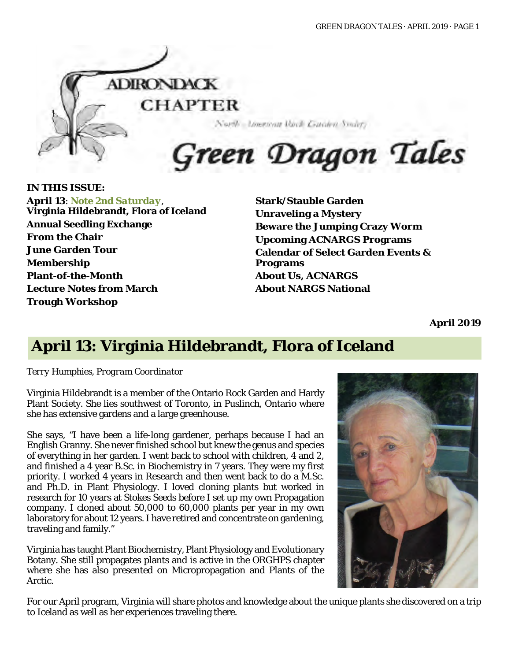

#### **IN THIS ISSUE:**

**April 13**: *Note 2nd Saturday*, **Virginia Hildebrandt, Flora of Iceland Annual Seedling Exchange From the Chair June Garden Tour Membership Plant-of-the-Month Lecture Notes from March Trough Workshop**

**Stark/Stauble Garden Unraveling a Mystery Beware the Jumping Crazy Worm Upcoming ACNARGS Programs Calendar of Select Garden Events & Programs About Us, ACNARGS About NARGS National**

**April 2019**

# **April 13: Virginia Hildebrandt, Flora of Iceland**

*Terry Humphies, Program Coordinator*

Virginia Hildebrandt is a member of the Ontario Rock Garden and Hardy Plant Society. She lies southwest of Toronto, in Puslinch, Ontario where she has extensive gardens and a large greenhouse.

She says, "I have been a life-long gardener, perhaps because I had an English Granny. She never finished school but knew the genus and species of everything in her garden. I went back to school with children, 4 and 2, and finished a 4 year B.Sc. in Biochemistry in 7 years. They were my first priority. I worked 4 years in Research and then went back to do a M.Sc. and Ph.D. in Plant Physiology. I loved cloning plants but worked in research for 10 years at Stokes Seeds before I set up my own Propagation company. I cloned about 50,000 to 60,000 plants per year in my own laboratory for about 12 years. I have retired and concentrate on gardening, traveling and family."

Virginia has taught Plant Biochemistry, Plant Physiology and Evolutionary Botany. She still propagates plants and is active in the ORGHPS chapter where she has also presented on Micropropagation and Plants of the Arctic.



For our April program, Virginia will share photos and knowledge about the unique plants she discovered on a trip to Iceland as well as her experiences traveling there.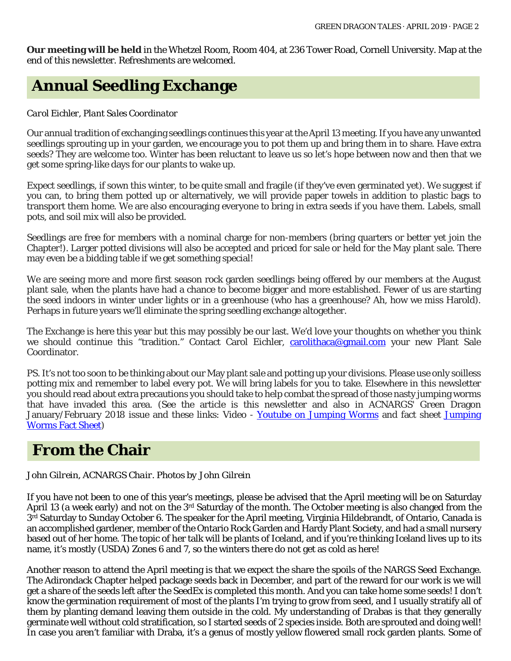**Our meeting will be held** in the Whetzel Room, Room 404, at 236 Tower Road, Cornell University. Map at the end of this newsletter. Refreshments are welcomed.

# **Annual Seedling Exchange**

#### *Carol Eichler, Plant Sales Coordinator*

Our annual tradition of exchanging seedlings continues this year at the April 13 meeting. If you have any unwanted seedlings sprouting up in your garden, we encourage you to pot them up and bring them in to share. Have extra seeds? They are welcome too. Winter has been reluctant to leave us so let's hope between now and then that we get some spring-like days for our plants to wake up.

Expect seedlings, if sown this winter, to be quite small and fragile (if they've even germinated yet). We suggest if you can, to bring them potted up or alternatively, we will provide paper towels in addition to plastic bags to transport them home. We are also encouraging everyone to bring in extra seeds if you have them. Labels, small pots, and soil mix will also be provided.

Seedlings are free for members with a nominal charge for non-members (bring quarters or better yet join the Chapter!). Larger potted divisions will also be accepted and priced for sale or held for the May plant sale. There may even be a bidding table if we get something special!

We are seeing more and more first season rock garden seedlings being offered by our members at the August plant sale, when the plants have had a chance to become bigger and more established. Fewer of us are starting the seed indoors in winter under lights or in a greenhouse (who has a greenhouse? Ah, how we miss Harold). Perhaps in future years we'll eliminate the spring seedling exchange altogether.

The Exchange is here this year but this may possibly be our last. We'd love your thoughts on whether you think we should continue this "tradition." Contact Carol Eichler, [carolithaca@gmail.com](mailto:carolithaca@gmail.com) your new Plant Sale Coordinator.

PS. It's not too soon to be thinking about our May plant sale and potting up your divisions. Please use only soilless potting mix and remember to label every pot. We will bring labels for you to take. Elsewhere in this newsletter you should read about extra precautions you should take to help combat the spread of those nasty jumping worms that have invaded this area. (See the article is this newsletter and also in ACNARGS' Green Dragon January/February 2018 issue and these links: Video - Youtube on [Jumping](https://cpb-us-e1.wpmucdn.com/blogs.cornell.edu/dist/a/4227/files/2017/11/JumpingWoms_FactSheet-11_15_17-2026fwt.pdf) Worms and fact sheet Jumping [Worms Fact Sheet\)](https://cpb-us-e1.wpmucdn.com/blogs.cornell.edu/dist/a/4227/files/2017/11/JumpingWoms_FactSheet-11_15_17-2026fwt.pdf)

### **From the Chair**

#### *John Gilrein, ACNARGS Chair. Photos by John Gilrein*

If you have not been to one of this year's meetings, please be advised that the April meeting will be on Saturday April 13 (a week early) and not on the  $3^{rd}$  Saturday of the month. The October meeting is also changed from the 3<sup>rd</sup> Saturday to Sunday October 6. The speaker for the April meeting, Virginia Hildebrandt, of Ontario, Canada is an accomplished gardener, member of the Ontario Rock Garden and Hardy Plant Society, and had a small nursery based out of her home. The topic of her talk will be plants of Iceland, and if you're thinking Iceland lives up to its name, it's mostly (USDA) Zones 6 and 7, so the winters there do not get as cold as here!

Another reason to attend the April meeting is that we expect the share the spoils of the NARGS Seed Exchange. The Adirondack Chapter helped package seeds back in December, and part of the reward for our work is we will get a share of the seeds left after the SeedEx is completed this month. And you can take home some seeds! I don't know the germination requirement of most of the plants I'm trying to grow from seed, and I usually stratify all of them by planting demand leaving them outside in the cold. My understanding of Drabas is that they generally germinate well without cold stratification, so I started seeds of 2 species inside. Both are sprouted and doing well! In case you aren't familiar with Draba, it's a genus of mostly yellow flowered small rock garden plants. Some of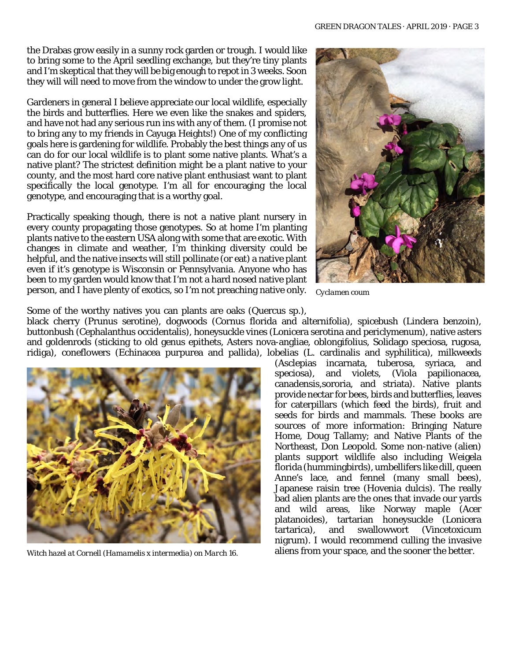the Drabas grow easily in a sunny rock garden or trough. I would like to bring some to the April seedling exchange, but they're tiny plants and I'm skeptical that they will be big enough to repot in 3 weeks. Soon they will will need to move from the window to under the grow light.

Gardeners in general I believe appreciate our local wildlife, especially the birds and butterflies. Here we even like the snakes and spiders, and have not had any serious run ins with any of them. (I promise not to bring any to my friends in Cayuga Heights!) One of my conflicting goals here is gardening for wildlife. Probably the best things any of us can do for our local wildlife is to plant some native plants. What's a native plant? The strictest definition might be a plant native to your county, and the most hard core native plant enthusiast want to plant specifically the local genotype. I'm all for encouraging the local genotype, and encouraging that is a worthy goal.

Practically speaking though, there is not a native plant nursery in every county propagating those genotypes. So at home I'm planting plants native to the eastern USA along with some that are exotic. With changes in climate and weather, I'm thinking diversity could be helpful, and the native insects will still pollinate (or eat) a native plant even if it's genotype is Wisconsin or Pennsylvania. Anyone who has been to my garden would know that I'm not a hard nosed native plant person, and I have plenty of exotics, so I'm not preaching native only.



*Cyclamen coum*

Some of the worthy natives you can plants are oaks (Quercus sp.),

black cherry (Prunus serotine), dogwoods (Cornus florida and alternifolia), spicebush (Lindera benzoin), buttonbush (Cephalanthus occidentalis), honeysuckle vines (Lonicera serotina and periclymenum), native asters and goldenrods (sticking to old genus epithets, Asters nova-angliae, oblongifolius, Solidago speciosa, rugosa, ridiga), coneflowers (Echinacea purpurea and pallida), lobelias (L. cardinalis and syphilitica), milkweeds



(Asclepias incarnata, tuberosa, syriaca, and speciosa), and violets, (Viola papilionacea, canadensis,sororia, and striata). Native plants provide nectar for bees, birds and butterflies, leaves for caterpillars (which feed the birds), fruit and seeds for birds and mammals. These books are sources of more information: Bringing Nature Home, Doug Tallamy; and Native Plants of the Northeast, Don Leopold. Some non-native (alien) plants support wildlife also including Weigela florida (hummingbirds), umbellifers like dill, queen Anne's lace, and fennel (many small bees), Japanese raisin tree (Hovenia dulcis). The really bad alien plants are the ones that invade our yards and wild areas, like Norway maple (Acer platanoides), tartarian honeysuckle (Lonicera tartarica), and swallowwort (Vincetoxicum nigrum). I would recommend culling the invasive *Witch hazel at Cornell (Hamamelis x intermedia) on March 16.* aliens from your space, and the sooner the better.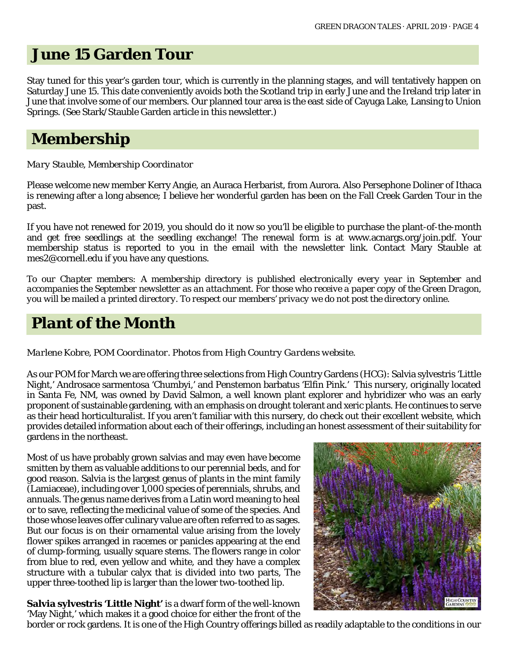### **June 15 Garden Tour**

Stay tuned for this year's garden tour, which is currently in the planning stages, and will tentatively happen on Saturday June 15. This date conveniently avoids both the Scotland trip in early June and the Ireland trip later in June that involve some of our members. Our planned tour area is the east side of Cayuga Lake, Lansing to Union Springs. (See Stark/Stauble Garden article in this newsletter.)

# **Membership**

#### *Mary Stauble, Membership Coordinator*

Please welcome new member Kerry Angie, an Auraca Herbarist, from Aurora. Also Persephone Doliner of Ithaca is renewing after a long absence; I believe her wonderful garden has been on the Fall Creek Garden Tour in the past.

If you have not renewed for 2019, you should do it now so you'll be eligible to purchase the plant-of-the-month and get free seedlings at the seedling exchange! The renewal form is at www.acnargs.org/join.pdf. Your membership status is reported to you in the email with the newsletter link. Contact Mary Stauble at mes2@cornell.edu if you have any questions.

*To our Chapter members: A membership directory is published electronically every year in September and accompanies the September newsletter as an attachment. For those who receive a paper copy of the Green Dragon, you will be mailed a printed directory. To respect our members' privacy we do not post the directory online.*

# **Plant of the Month**

*Marlene Kobre, POM Coordinator. Photos from High Country Gardens website.*

As our POM for March we are offering three selections from High Country Gardens (HCG): Salvia sylvestris 'Little Night,' Androsace sarmentosa 'Chumbyi,' and Penstemon barbatus 'Elfin Pink.' This nursery, originally located in Santa Fe, NM, was owned by David Salmon, a well known plant explorer and hybridizer who was an early proponent of sustainable gardening, with an emphasis on drought tolerant and xeric plants. He continues to serve as their head horticulturalist. If you aren't familiar with this nursery, do check out their excellent website, which provides detailed information about each of their offerings, including an honest assessment of their suitability for gardens in the northeast.

Most of us have probably grown salvias and may even have become smitten by them as valuable additions to our perennial beds, and for good reason. Salvia is the largest genus of plants in the mint family (Lamiaceae), including over 1,000 species of perennials, shrubs, and annuals. The genus name derives from a Latin word meaning to heal or to save, reflecting the medicinal value of some of the species. And those whose leaves offer culinary value are often referred to as sages. But our focus is on their ornamental value arising from the lovely flower spikes arranged in racemes or panicles appearing at the end of clump-forming, usually square stems. The flowers range in color from blue to red, even yellow and white, and they have a complex structure with a tubular calyx that is divided into two parts, The upper three-toothed lip is larger than the lower two-toothed lip.

**Salvia sylvestris 'Little Night'** is a dwarf form of the well-known 'May Night,' which makes it a good choice for either the front of the



border or rock gardens. It is one of the High Country offerings billed as readily adaptable to the conditions in our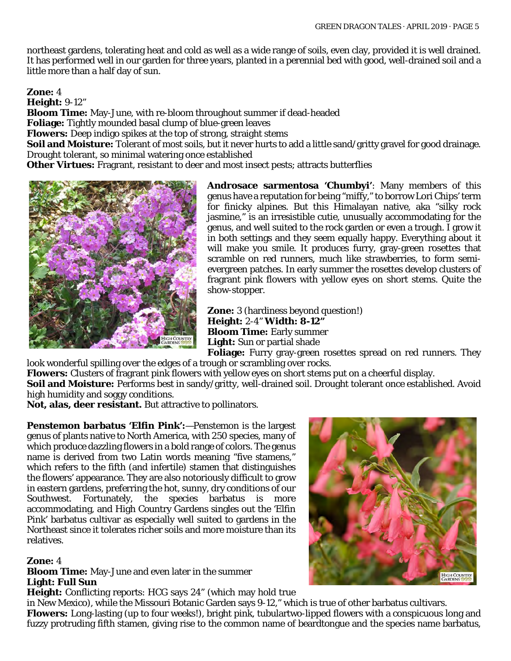northeast gardens, tolerating heat and cold as well as a wide range of soils, even clay, provided it is well drained. It has performed well in our garden for three years, planted in a perennial bed with good, well-drained soil and a little more than a half day of sun.

**Zone:** 4

**Height:** 9-12"

**Bloom Time:** May-June, with re-bloom throughout summer if dead-headed

**Foliage:** Tightly mounded basal clump of blue-green leaves

**Flowers:** Deep indigo spikes at the top of strong, straight stems

**Soil and Moisture:** Tolerant of most soils, but it never hurts to add a little sand/gritty gravel for good drainage. Drought tolerant, so minimal watering once established

**Other Virtues:** Fragrant, resistant to deer and most insect pests; attracts butterflies



**Androsace sarmentosa 'Chumbyi'**: Many members of this genus have a reputation for being "miffy," to borrow Lori Chips' term for finicky alpines. But this Himalayan native, aka "silky rock jasmine," is an irresistible cutie, unusually accommodating for the genus, and well suited to the rock garden or even a trough. I grow it in both settings and they seem equally happy. Everything about it will make you smile. It produces furry, gray-green rosettes that scramble on red runners, much like strawberries, to form semievergreen patches. In early summer the rosettes develop clusters of fragrant pink flowers with yellow eyes on short stems. Quite the show-stopper.

**Zone:** 3 (hardiness beyond question!) **Height:** 2-4" **Width: 8-12" Bloom Time:** Early summer **Light:** Sun or partial shade

**Foliage:** Furry gray-green rosettes spread on red runners. They look wonderful spilling over the edges of a trough or scrambling over rocks.

**Flowers:** Clusters of fragrant pink flowers with yellow eyes on short stems put on a cheerful display.

**Soil and Moisture:** Performs best in sandy/gritty, well-drained soil. Drought tolerant once established. Avoid high humidity and soggy conditions.

**Not, alas, deer resistant.** But attractive to pollinators.

**Penstemon barbatus 'Elfin Pink':**—Penstemon is the largest genus of plants native to North America, with 250 species, many of which produce dazzling flowers in a bold range of colors. The genus name is derived from two Latin words meaning "five stamens," which refers to the fifth (and infertile) stamen that distinguishes the flowers' appearance. They are also notoriously difficult to grow in eastern gardens, preferring the hot, sunny, dry conditions of our<br>Southwest. Fortunately, the species barbatus is more Southwest. Fortunately, the species barbatus is more accommodating, and High Country Gardens singles out the 'Elfin Pink' barbatus cultivar as especially well suited to gardens in the Northeast since it tolerates richer soils and more moisture than its relatives.

#### **Zone:** 4

**Bloom Time:** May-June and even later in the summer **Light: Full Sun** 

**Height:** Conflicting reports: HCG says 24" (which may hold true

in New Mexico), while the Missouri Botanic Garden says 9-12," which is true of other barbatus cultivars. **Flowers:** Long-lasting (up to four weeks!), bright pink, tubulartwo-lipped flowers with a conspicuous long and fuzzy protruding fifth stamen, giving rise to the common name of beardtongue and the species name barbatus,

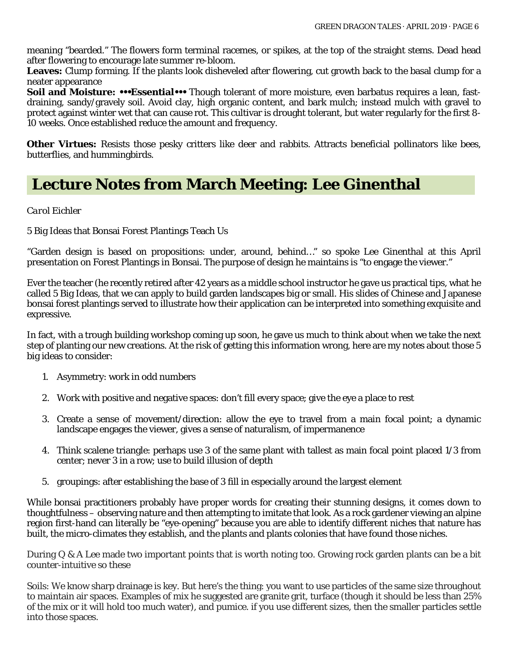meaning "bearded." The flowers form terminal racemes, or spikes, at the top of the straight stems. Dead head after flowering to encourage late summer re-bloom.

**Leaves:** Clump forming. If the plants look disheveled after flowering, cut growth back to the basal clump for a neater appearance

**Soil and Moisture: •••Essential•••** Though tolerant of more moisture, even barbatus requires a lean, fastdraining, sandy/gravely soil. Avoid clay, high organic content, and bark mulch; instead mulch with gravel to protect against winter wet that can cause rot. This cultivar is drought tolerant, but water regularly for the first 8- 10 weeks. Once established reduce the amount and frequency.

**Other Virtues:** Resists those pesky critters like deer and rabbits. Attracts beneficial pollinators like bees, butterflies, and hummingbirds.

### **Lecture Notes from March Meeting: Lee Ginenthal**

#### *Carol Eichler*

5 Big Ideas that Bonsai Forest Plantings Teach Us

"Garden design is based on propositions: under, around, behind…" so spoke Lee Ginenthal at this April presentation on Forest Plantings in Bonsai. The purpose of design he maintains is "to engage the viewer."

Ever the teacher (he recently retired after 42 years as a middle school instructor he gave us practical tips, what he called 5 Big Ideas, that we can apply to build garden landscapes big or small. His slides of Chinese and Japanese bonsai forest plantings served to illustrate how their application can be interpreted into something exquisite and expressive.

In fact, with a trough building workshop coming up soon, he gave us much to think about when we take the next step of planting our new creations. At the risk of getting this information wrong, here are my notes about those 5 big ideas to consider:

- 1. Asymmetry: work in odd numbers
- 2. Work with positive and negative spaces: don't fill every space; give the eye a place to rest
- 3. Create a sense of movement/direction: allow the eye to travel from a main focal point; a dynamic landscape engages the viewer, gives a sense of naturalism, of impermanence
- 4. Think scalene triangle: perhaps use 3 of the same plant with tallest as main focal point placed 1/3 from center; never 3 in a row; use to build illusion of depth
- 5. groupings: after establishing the base of 3 fill in especially around the largest element

While bonsai practitioners probably have proper words for creating their stunning designs, it comes down to thoughtfulness – observing nature and then attempting to imitate that look. As a rock gardener viewing an alpine region first-hand can literally be "eye-opening" because you are able to identify different niches that nature has built, the micro-climates they establish, and the plants and plants colonies that have found those niches.

During Q & A Lee made two important points that is worth noting too. Growing rock garden plants can be a bit counter-intuitive so these

Soils: We know sharp drainage is key. But here's the thing: you want to use particles of the same size throughout to maintain air spaces. Examples of mix he suggested are granite grit, turface (though it should be less than 25% of the mix or it will hold too much water), and pumice. if you use different sizes, then the smaller particles settle into those spaces.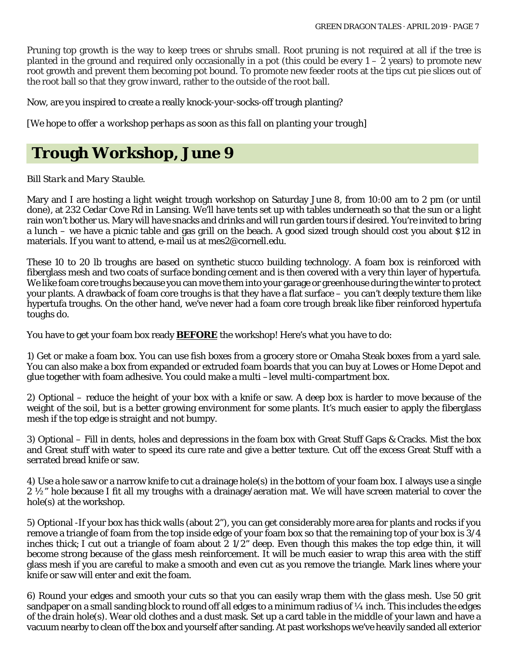Pruning top growth is the way to keep trees or shrubs small. Root pruning is not required at all if the tree is planted in the ground and required only occasionally in a pot (this could be every  $1 - 2$  years) to promote new root growth and prevent them becoming pot bound. To promote new feeder roots at the tips cut pie slices out of the root ball so that they grow inward, rather to the outside of the root ball.

Now, are you inspired to create a really knock-your-socks-off trough planting?

*[We hope to offer a workshop perhaps as soon as this fall on planting your trough]*

# **Trough Workshop, June 9**

#### *Bill Stark and Mary Stauble.*

Mary and I are hosting a light weight trough workshop on Saturday June 8, from 10:00 am to 2 pm (or until done), at 232 Cedar Cove Rd in Lansing. We'll have tents set up with tables underneath so that the sun or a light rain won't bother us. Mary will have snacks and drinks and will run garden tours if desired. You're invited to bring a lunch – we have a picnic table and gas grill on the beach. A good sized trough should cost you about \$12 in materials. If you want to attend, e-mail us at mes2@cornell.edu.

These 10 to 20 lb troughs are based on synthetic stucco building technology. A foam box is reinforced with fiberglass mesh and two coats of surface bonding cement and is then covered with a very thin layer of hypertufa. We like foam core troughs because you can move them into your garage or greenhouse during the winter to protect your plants. A drawback of foam core troughs is that they have a flat surface – you can't deeply texture them like hypertufa troughs. On the other hand, we've never had a foam core trough break like fiber reinforced hypertufa toughs do.

You have to get your foam box ready **BEFORE** the workshop! Here's what you have to do:

1) Get or make a foam box. You can use fish boxes from a grocery store or Omaha Steak boxes from a yard sale. You can also make a box from expanded or extruded foam boards that you can buy at Lowes or Home Depot and glue together with foam adhesive. You could make a multi –level multi-compartment box.

2) Optional – reduce the height of your box with a knife or saw. A deep box is harder to move because of the weight of the soil, but is a better growing environment for some plants. It's much easier to apply the fiberglass mesh if the top edge is straight and not bumpy.

3) Optional – Fill in dents, holes and depressions in the foam box with Great Stuff Gaps & Cracks. Mist the box and Great stuff with water to speed its cure rate and give a better texture. Cut off the excess Great Stuff with a serrated bread knife or saw.

4) Use a hole saw or a narrow knife to cut a drainage hole(s) in the bottom of your foam box. I always use a single  $2\frac{1}{2}$  hole because I fit all my troughs with a drainage/aeration mat. We will have screen material to cover the hole(s) at the workshop.

5) Optional -If your box has thick walls (about 2"), you can get considerably more area for plants and rocks if you remove a triangle of foam from the top inside edge of your foam box so that the remaining top of your box is 3/4 inches thick; I cut out a triangle of foam about  $2\frac{1}{2}$ " deep. Even though this makes the top edge thin, it will become strong because of the glass mesh reinforcement. It will be much easier to wrap this area with the stiff glass mesh if you are careful to make a smooth and even cut as you remove the triangle. Mark lines where your knife or saw will enter and exit the foam.

6) Round your edges and smooth your cuts so that you can easily wrap them with the glass mesh. Use 50 grit sandpaper on a small sanding block to round off all edges to a minimum radius of 1/4 inch. This includes the edges of the drain hole(s). Wear old clothes and a dust mask. Set up a card table in the middle of your lawn and have a vacuum nearby to clean off the box and yourself after sanding. At past workshops we've heavily sanded all exterior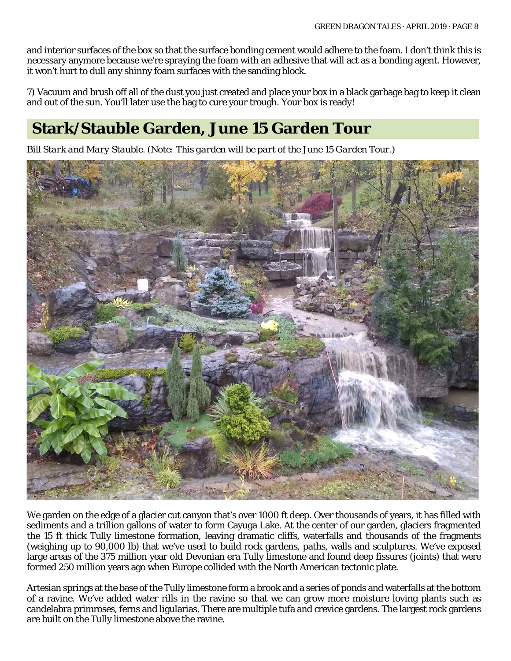and interior surfaces of the box so that the surface bonding cement would adhere to the foam. I don't think this is necessary anymore because we're spraying the foam with an adhesive that will act as a bonding agent. However, it won't hurt to dull any shinny foam surfaces with the sanding block.

7) Vacuum and brush off all of the dust you just created and place your box in a black garbage bag to keep it clean and out of the sun. You'll later use the bag to cure your trough. Your box is ready!

# **Stark/Stauble Garden, June 15 Garden Tour**

*Bill Stark and Mary Stauble. (Note: This garden will be part of the June 15 Garden Tour.)*



We garden on the edge of a glacier cut canyon that's over 1000 ft deep. Over thousands of years, it has filled with sediments and a trillion gallons of water to form Cayuga Lake. At the center of our garden, glaciers fragmented the 15 ft thick Tully limestone formation, leaving dramatic cliffs, waterfalls and thousands of the fragments (weighing up to 90,000 lb) that we've used to build rock gardens, paths, walls and sculptures. We've exposed large areas of the 375 million year old Devonian era Tully limestone and found deep fissures (joints) that were formed 250 million years ago when Europe collided with the North American tectonic plate.

Artesian springs at the base of the Tully limestone form a brook and a series of ponds and waterfalls at the bottom of a ravine. We've added water rills in the ravine so that we can grow more moisture loving plants such as candelabra primroses, ferns and ligularias. There are multiple tufa and crevice gardens. The largest rock gardens are built on the Tully limestone above the ravine.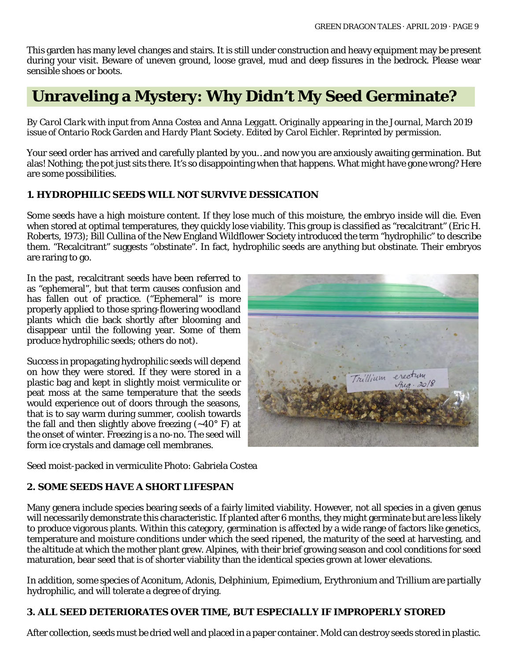This garden has many level changes and stairs. It is still under construction and heavy equipment may be present during your visit. Beware of uneven ground, loose gravel, mud and deep fissures in the bedrock. Please wear sensible shoes or boots.

# **Unraveling a Mystery: Why Didn't My Seed Germinate?**

*By Carol Clark with input from Anna Costea and Anna Leggatt. Originally appearing in the Journal, March 2019 issue of Ontario Rock Garden and Hardy Plant Society. Edited by Carol Eichler. Reprinted by permission.*

Your seed order has arrived and carefully planted by you…and now you are anxiously awaiting germination. But alas! Nothing; the pot just sits there. It's so disappointing when that happens. What might have gone wrong? Here are some possibilities.

#### **1. HYDROPHILIC SEEDS WILL NOT SURVIVE DESSICATION**

Some seeds have a high moisture content. If they lose much of this moisture, the embryo inside will die. Even when stored at optimal temperatures, they quickly lose viability. This group is classified as "recalcitrant" (Eric H. Roberts, 1973); Bill Cullina of the New England Wildflower Society introduced the term "hydrophilic" to describe them. "Recalcitrant" suggests "obstinate". In fact, hydrophilic seeds are anything but obstinate. Their embryos are raring to go.

In the past, recalcitrant seeds have been referred to as "ephemeral", but that term causes confusion and has fallen out of practice. ("Ephemeral" is more properly applied to those spring-flowering woodland plants which die back shortly after blooming and disappear until the following year. Some of them produce hydrophilic seeds; others do not).

Success in propagating hydrophilic seeds will depend on how they were stored. If they were stored in a plastic bag and kept in slightly moist vermiculite or peat moss at the same temperature that the seeds would experience out of doors through the seasons, that is to say warm during summer, coolish towards the fall and then slightly above freezing  $(-40^{\circ} \text{ F})$  at the onset of winter. Freezing is a no-no. The seed will form ice crystals and damage cell membranes.



Seed moist-packed in vermiculite Photo: Gabriela Costea

#### **2. SOME SEEDS HAVE A SHORT LIFESPAN**

Many genera include species bearing seeds of a fairly limited viability. However, not all species in a given genus will necessarily demonstrate this characteristic. If planted after 6 months, they might germinate but are less likely to produce vigorous plants. Within this category, germination is affected by a wide range of factors like genetics, temperature and moisture conditions under which the seed ripened, the maturity of the seed at harvesting, and the altitude at which the mother plant grew. Alpines, with their brief growing season and cool conditions for seed maturation, bear seed that is of shorter viability than the identical species grown at lower elevations.

In addition, some species of Aconitum, Adonis, Delphinium, Epimedium, Erythronium and Trillium are partially hydrophilic, and will tolerate a degree of drying.

#### **3. ALL SEED DETERIORATES OVER TIME, BUT ESPECIALLY IF IMPROPERLY STORED**

After collection, seeds must be dried well and placed in a paper container. Mold can destroy seeds stored in plastic.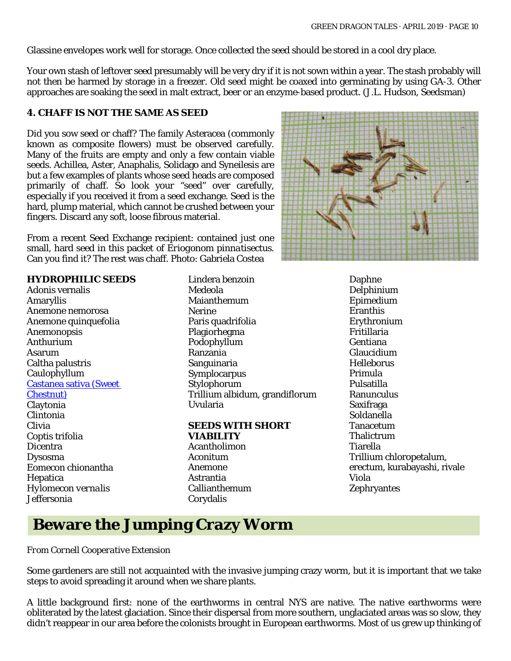Glassine envelopes work well for storage. Once collected the seed should be stored in a cool dry place.

Your own stash of leftover seed presumably will be very dry if it is not sown within a year. The stash probably will not then be harmed by storage in a freezer. Old seed might be coaxed into germinating by using GA-3. Other approaches are soaking the seed in malt extract, beer or an enzyme-based product. (J.L. Hudson, Seedsman)

#### **4. CHAFF IS NOT THE SAME AS SEED**

Did you sow seed or chaff? The family Asteracea (commonly known as composite flowers) must be observed carefully. Many of the fruits are empty and only a few contain viable seeds. Achillea, Aster, Anaphalis, Solidago and Syneilesis are but a few examples of plants whose seed heads are composed primarily of chaff. So look your "seed" over carefully, especially if you received it from a seed exchange. Seed is the hard, plump material, which cannot be crushed between your fingers. Discard any soft, loose fibrous material.

From a recent Seed Exchange recipient: contained just one small, hard seed in this packet of *Eriogonom pinnatisectus.* Can you find it? The rest was chaff. Photo: Gabriela Costea

#### **HYDROPHILIC SEEDS**

Adonis vernalis Amaryllis Anemone nemorosa Anemone quinquefolia Anemonopsis Anthurium Asarum Caltha palustris Caulophyllum [Castanea sativa](https://en.wikipedia.org/wiki/Castanea_sativa) (Sweet Chestnut) Claytonia Clintonia Clivia Coptis trifolia Dicentra Dysosma Eomecon chionantha Hepatica *Hylomecon vernalis* Jeffersonia

Lindera benzoin Medeola Maianthemum Nerine Paris quadrifolia Plagiorhegma Podophyllum Ranzania Sanguinaria Symplocarpus Stylophorum Trillium albidum, grandiflorum Uvularia

#### **SEEDS WITH SHORT VIABILITY**  Acantholimon Aconitum Anemone Astrantia Callianthemum

Corydalis



Daphne Delphinium Epimedium Eranthis Erythronium Fritillaria Gentiana Glaucidium Helleborus Primula Pulsatilla Ranunculus Saxifraga Soldanella Tanacetum Thalictrum Tiarella Trillium chloropetalum, erectum, kurabayashi, rivale Viola **Zephryantes** 

### **Beware the Jumping Crazy Worm**

#### *From Cornell Cooperative Extension*

Some gardeners are still not acquainted with the invasive jumping crazy worm, but it is important that we take steps to avoid spreading it around when we share plants.

A little background first: none of the earthworms in central NYS are native. The native earthworms were obliterated by the latest glaciation. Since their dispersal from more southern, unglaciated areas was so slow, they didn't reappear in our area before the colonists brought in European earthworms. Most of us grew up thinking of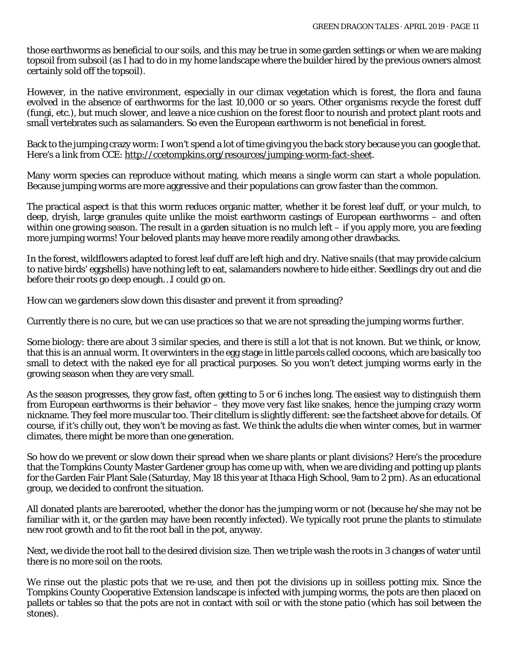those earthworms as beneficial to our soils, and this may be true in some garden settings or when we are making topsoil from subsoil (as I had to do in my home landscape where the builder hired by the previous owners almost certainly sold off the topsoil).

However, in the native environment, especially in our climax vegetation which is forest, the flora and fauna evolved in the absence of earthworms for the last 10,000 or so years. Other organisms recycle the forest duff (fungi, etc.), but much slower, and leave a nice cushion on the forest floor to nourish and protect plant roots and small vertebrates such as salamanders. So even the European earthworm is not beneficial in forest.

Back to the jumping crazy worm: I won't spend a lot of time giving you the back story because you can google that. Here's a link from CCE: [http://ccetompkins.org/resources/jumping-worm-fact-sheet.](http://ccetompkins.org/resources/jumping-worm-fact-sheet)

Many worm species can reproduce without mating, which means a single worm can start a whole population. Because jumping worms are more aggressive and their populations can grow faster than the common.

The practical aspect is that this worm reduces organic matter, whether it be forest leaf duff, or your mulch, to deep, dryish, large granules quite unlike the moist earthworm castings of European earthworms – and often within one growing season. The result in a garden situation is no mulch left  $-$  if you apply more, you are feeding more jumping worms! Your beloved plants may heave more readily among other drawbacks.

In the forest, wildflowers adapted to forest leaf duff are left high and dry. Native snails (that may provide calcium to native birds' eggshells) have nothing left to eat, salamanders nowhere to hide either. Seedlings dry out and die before their roots go deep enough…I could go on.

How can we gardeners slow down this disaster and prevent it from spreading?

Currently there is no cure, but we can use practices so that we are not spreading the jumping worms further.

Some biology: there are about 3 similar species, and there is still a lot that is not known. But we think, or know, that this is an annual worm. It overwinters in the egg stage in little parcels called cocoons, which are basically too small to detect with the naked eye for all practical purposes. So you won't detect jumping worms early in the growing season when they are very small.

As the season progresses, they grow fast, often getting to 5 or 6 inches long. The easiest way to distinguish them from European earthworms is their behavior – they move very fast like snakes, hence the jumping crazy worm nickname. They feel more muscular too. Their clitellum is slightly different: see the factsheet above for details. Of course, if it's chilly out, they won't be moving as fast. We think the adults die when winter comes, but in warmer climates, there might be more than one generation.

So how do we prevent or slow down their spread when we share plants or plant divisions? Here's the procedure that the Tompkins County Master Gardener group has come up with, when we are dividing and potting up plants for the Garden Fair Plant Sale (Saturday, May 18 this year at Ithaca High School, 9am to 2 pm). As an educational group, we decided to confront the situation.

All donated plants are barerooted, whether the donor has the jumping worm or not (because he/she may not be familiar with it, or the garden may have been recently infected). We typically root prune the plants to stimulate new root growth and to fit the root ball in the pot, anyway.

Next, we divide the root ball to the desired division size. Then we triple wash the roots in 3 changes of water until there is no more soil on the roots.

We rinse out the plastic pots that we re-use, and then pot the divisions up in soilless potting mix. Since the Tompkins County Cooperative Extension landscape is infected with jumping worms, the pots are then placed on pallets or tables so that the pots are not in contact with soil or with the stone patio (which has soil between the stones).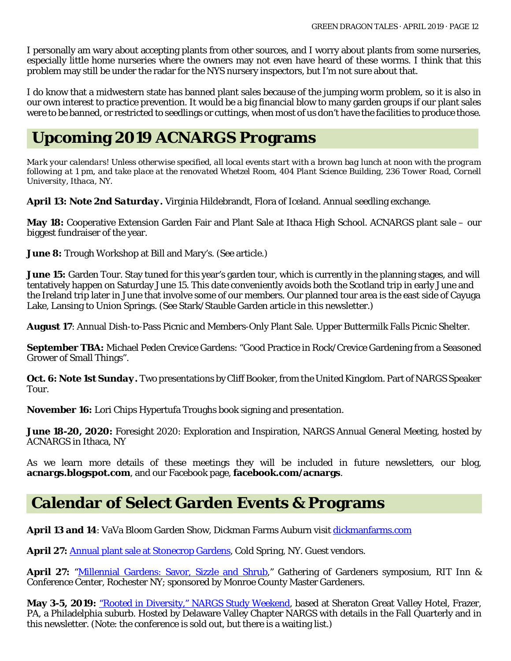I personally am wary about accepting plants from other sources, and I worry about plants from some nurseries, especially little home nurseries where the owners may not even have heard of these worms. I think that this problem may still be under the radar for the NYS nursery inspectors, but I'm not sure about that.

I do know that a midwestern state has banned plant sales because of the jumping worm problem, so it is also in our own interest to practice prevention. It would be a big financial blow to many garden groups if our plant sales were to be banned, or restricted to seedlings or cuttings, when most of us don't have the facilities to produce those.

### **Upcoming 2019 ACNARGS Programs**

*Mark your calendars! Unless otherwise specified, all local events start with a brown bag lunch at noon with the program following at 1 pm, and take place at the renovated Whetzel Room, 404 Plant Science Building, 236 Tower Road, Cornell University, Ithaca, NY.*

**April 13:** *Note 2nd Saturday***.** Virginia Hildebrandt, Flora of Iceland. Annual seedling exchange.

**May 18:** Cooperative Extension Garden Fair and Plant Sale at Ithaca High School. ACNARGS plant sale – our biggest fundraiser of the year.

**June 8:** Trough Workshop at Bill and Mary's. (See article.)

**June 15:** Garden Tour. Stay tuned for this year's garden tour, which is currently in the planning stages, and will tentatively happen on Saturday June 15. This date conveniently avoids both the Scotland trip in early June and the Ireland trip later in June that involve some of our members. Our planned tour area is the east side of Cayuga Lake, Lansing to Union Springs. (See Stark/Stauble Garden article in this newsletter.)

**August 17**: Annual Dish-to-Pass Picnic and Members-Only Plant Sale. Upper Buttermilk Falls Picnic Shelter.

**September TBA:** Michael Peden Crevice Gardens: "Good Practice in Rock/Crevice Gardening from a Seasoned Grower of Small Things".

**Oct. 6:** *Note 1st Sunday.* Two presentations by Cliff Booker, from the United Kingdom. Part of NARGS Speaker Tour.

**November 16:** Lori Chips Hypertufa Troughs book signing and presentation.

**June 18-20, 2020:** Foresight 2020: Exploration and Inspiration, NARGS Annual General Meeting, hosted by ACNARGS in Ithaca, NY

As we learn more details of these meetings they will be included in future newsletters, our blog, **acnargs.blogspot.com**, and our Facebook page, **[facebook.com/acnargs](http://www.facebook.com/acnargs)**.

### **Calendar of Select Garden Events & Programs**

**April 13 and 14**: VaVa Bloom Garden Show, Dickman Farms Auburn visit [dickmanfarms.com](http://dickmanfarms.com/)

April 27: **[Annual plant sale at Stonecrop](https://www.stonecrop.org/) Gardens**, Cold Spring, NY. Guest vendors.

April 27: ["Millennial Gardens: Savor, Sizzle and Shrub,](http://monroe.cce.cornell.edu/resources/2019-press-release-for-gathering-of-gardeners)" Gathering of Gardeners symposium, RIT Inn & Conference Center, Rochester NY; sponsored by Monroe County Master Gardeners.

May 3-5, 2019: ["Rooted in Diversity," NARGS Study Weekend,](http://dvcnargs.org/contact_sw.html) based at Sheraton Great Valley Hotel, Frazer, PA, a Philadelphia suburb. Hosted by Delaware Valley Chapter NARGS with details in the Fall Quarterly and in this newsletter. (Note: the conference is sold out, but there is a waiting list.)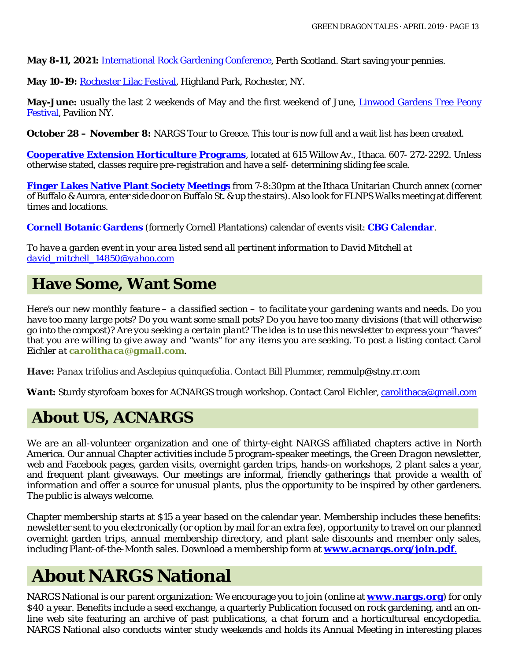**May 8-11, 2021:** [International Rock Gardening Conference,](http://www.srgc.net/forum/index.php?PHPSESSID=7j9mb2tsqt101pa7qnfdpobjh3&topic=15976.msg386382#msg386382) Perth Scotland. Start saving your pennies.

**May 10-19:** [Rochester Lilac Festival,](https://www.rochesterevents.com/lilac-festival/) Highland Park, Rochester, NY.

**May-June:** usually the last 2 weekends of May and the first weekend of June, *Linwood Gardens Tree Peony* [Festival,](https://www.linwoodgardens.org/festival2019) Pavilion NY.

**October 28 – November 8:** NARGS Tour to Greece. This tour is now full and a wait list has been created.

**[Cooperative Extension Horticulture Programs](http://www.ccetompkins.org/)**, located at 615 Willow Av., Ithaca. 607- 272-2292. Unless otherwise stated, classes require pre-registration and have a self- determining sliding fee scale.

**[Finger Lakes Native Plant Society Meetings](https://flnps.org/)** from 7-8:30pm at the Ithaca Unitarian Church annex (corner of Buffalo & Aurora, enter side door on Buffalo St. & up the stairs). Also look for FLNPS Walks meeting at different times and locations.

**[Cornell Botanic Gardens](https://cornellbotanicgardens.org/)** (formerly Cornell Plantations) calendar of events visit: **[CBG Calendar](https://cornellbotanicgardens.org/explore/events/)**.

*To have a garden event in your area listed send all pertinent information to David Mitchell at [david\\_mitchell\\_14850@yahoo.com](mailto:david_mitchell_14850@yahoo.com)*

### **Have Some, Want Some**

*Here's our new monthly feature – a classified section – to facilitate your gardening wants and needs. Do you have too many large pots? Do you want some small pots? Do you have too many divisions (that will otherwise go into the compost)? Are you seeking a certain plant? The idea is to use this newsletter to express your "haves" that you are willing to give away and "wants" for any items you are seeking. To post a listing contact Carol Eichler at [carolithaca@gmail.com](mailto:carolithaca@gmail.com).*

**Have:** *Panax trifolius* and *Asclepius quinquefolia*. Contact Bill Plummer, [remmulp@stny.rr.com](mailto:remmulp@stny.rr.com)

**Want:** Sturdy styrofoam boxes for ACNARGS trough workshop. Contact Carol Eichler[, carolithaca@gmail.com](mailto:carolithaca@gmail.com)

### **About US, ACNARGS**

We are an all-volunteer organization and one of thirty-eight NARGS affiliated chapters active in North America. Our annual Chapter activities include 5 program-speaker meetings, the *Green Dragon* newsletter, web and Facebook pages, garden visits, overnight garden trips, hands-on workshops, 2 plant sales a year, and frequent plant giveaways. Our meetings are informal, friendly gatherings that provide a wealth of information and offer a source for unusual plants, plus the opportunity to be inspired by other gardeners. The public is always welcome.

Chapter membership starts at \$15 a year based on the calendar year. Membership includes these benefits: newsletter sent to you electronically (or option by mail for an extra fee), opportunity to travel on our planned overnight garden trips, annual membership directory, and plant sale discounts and member only sales, including Plant-of-the-Month sales. Download a membership form at **[www.acnargs.org/join.pdf](http://www.acnargs.org/join.pdf.)**.

# **About NARGS National**

NARGS National is our parent organization: We encourage you to join (online at **www.nargs.org**) for only \$40 a year. Benefits include a seed exchange, a quarterly Publication focused on rock gardening, and an online web site featuring an archive of past publications, a chat forum and a horticultureal encyclopedia. NARGS National also conducts winter study weekends and holds its Annual Meeting in interesting places